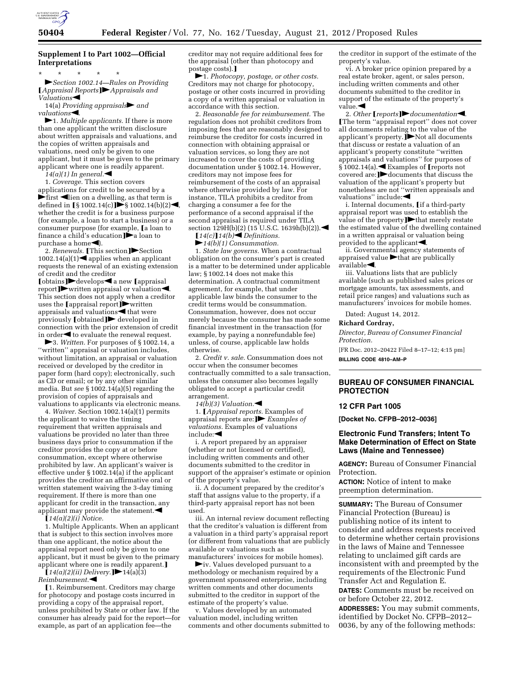

## **Supplement I to Part 1002—Official Interpretations**

\* \* \* \* \* fl*Section 1002.14—Rules on Providing*  ø*Appraisal Reports*¿fl*Appraisals and*  Valuations<br/>  $\blacksquare$ 

14(a) *Providing appraisals* and *valuations* 

 $\blacktriangleright$ 1. *Multiple applicants*. If there is more than one applicant the written disclosure about written appraisals and valuations, and the copies of written appraisals and valuations, need only be given to one applicant, but it must be given to the primary applicant where one is readily apparent.

 $14(a)(1)$  In general.

1. *Coverage.* This section covers applications for credit to be secured by a  $\blacktriangleright$  first  $\blacktriangleleft$  lien on a dwelling, as that term is defined in  $\S$ 1002.14(c)**j** $\blacktriangleright$ § 1002.14(b)(2) $\blacktriangleleft$ , whether the credit is for a business purpose (for example, a loan to start a business) or a consumer purpose (for example, [a loan to finance a child's education $\hat{P}$ a loan to purchase a home $\blacktriangleleft$ ).

2. *Renewals.* [This section] $\triangleright$  Section 1002.14(a)(1) $\blacktriangleleft$  applies when an applicant requests the renewal of an existing extension of credit and the creditor

[obtains]▶ develops< a new [appraisal] report] $\blacktriangleright$  written appraisal or valuation $\blacktriangleleft$ . This section does not apply when a creditor uses the  $[$ appraisal report $j$  written appraisals and valuations $\blacktriangleleft$  that were  $previously$  [obtained] $\blacktriangleright$  developed in connection with the prior extension of credit in order $\blacktriangleleft$  to evaluate the renewal request.

**►**3. *Written.* For purposes of § 1002.14, a ''written'' appraisal or valuation includes, without limitation, an appraisal or valuation received or developed by the creditor in paper form (hard copy); electronically, such as CD or email; or by any other similar media. But *see* § 1002.14(a)(5) regarding the provision of copies of appraisals and valuations to applicants via electronic means.

4. *Waiver.* Section 1002.14(a)(1) permits the applicant to waive the timing requirement that written appraisals and valuations be provided no later than three business days prior to consummation if the creditor provides the copy at or before consummation, except where otherwise prohibited by law. An applicant's waiver is effective under  $\S 1002.14(a)$  if the applicant provides the creditor an affirmative oral or written statement waiving the 3-day timing requirement. If there is more than one applicant for credit in the transaction, any applicant may provide the statement. $\blacktriangleleft$ 

 $\int 14(a)(2)(i) \dot{\text{Notice}}$ .

1. Multiple Applicants. When an applicant that is subject to this section involves more than one applicant, the notice about the appraisal report need only be given to one applicant, but it must be given to the primary applicant where one is readily apparent.]

 $\int 14(a)(2)(ii)$  Delivery.  $\blacktriangleright$  14(a)(3) *Reimbursement.*fi

[1. Reimbursement. Creditors may charge for photocopy and postage costs incurred in providing a copy of the appraisal report, unless prohibited by State or other law. If the consumer has already paid for the report—for example, as part of an application fee—the

creditor may not require additional fees for the appraisal (other than photocopy and postage costs).]

 $\blacktriangleright$ 1. *Photocopy, postage, or other costs.* Creditors may not charge for photocopy, postage or other costs incurred in providing a copy of a written appraisal or valuation in accordance with this section.

2. *Reasonable fee for reimbursement.* The regulation does not prohibit creditors from imposing fees that are reasonably designed to reimburse the creditor for costs incurred in connection with obtaining appraisal or valuation services, so long they are not increased to cover the costs of providing documentation under § 1002.14. However, creditors may not impose fees for reimbursement of the costs of an appraisal where otherwise provided by law. For instance, TILA prohibits a creditor from charging a consumer a fee for the performance of a second appraisal if the second appraisal is required under TILA section  $129H(b)(2)$  (15 U.S.C. 1639h(b)(2)).

 $[14(c)]$   $14(b)$   $\triangle$  *Definitions.*  $\blacktriangleright$ 14(b)(1) Consummation.

1. *State law governs.* When a contractual obligation on the consumer's part is created is a matter to be determined under applicable law; § 1002.14 does not make this determination. A contractual commitment agreement, for example, that under applicable law binds the consumer to the credit terms would be consummation. Consummation, however, does not occur merely because the consumer has made some financial investment in the transaction (for example, by paying a nonrefundable fee) unless, of course, applicable law holds otherwise.

2. *Credit v. sale.* Consummation does not occur when the consumer becomes contractually committed to a sale transaction, unless the consumer also becomes legally obligated to accept a particular credit arrangement.

 $14(b)(3)$  Valuation.

1. ø*Appraisal reports.* Examples of appraisal reports are: **F***Examples of valuations.* Examples of valuations include: $\blacktriangleleft$ 

i. A report prepared by an appraiser (whether or not licensed or certified), including written comments and other documents submitted to the creditor in support of the appraiser's estimate or opinion of the property's value.

ii. A document prepared by the creditor's staff that assigns value to the property, if a third-party appraisal report has not been used.

iii. An internal review document reflecting that the creditor's valuation is different from a valuation in a third party's appraisal report (or different from valuations that are publicly available or valuations such as manufacturers' invoices for mobile homes).

 $\blacktriangleright$ iv. Values developed pursuant to a methodology or mechanism required by a government sponsored enterprise, including written comments and other documents submitted to the creditor in support of the estimate of the property's value.

v. Values developed by an automated valuation model, including written comments and other documents submitted to the creditor in support of the estimate of the property's value.

vi. A broker price opinion prepared by a real estate broker, agent, or sales person, including written comments and other documents submitted to the creditor in support of the estimate of the property's  $value.$ 

2. *Other* **[***reports***]** *documentation*. øThe term ''appraisal report'' does not cover all documents relating to the value of the applicant's property. $j$ Not all documents that discuss or restate a valuation of an applicant's property constitute ''written appraisals and valuations'' for purposes of  $\widehat{\S}$ 1002.14(a). Examples of [reports not covered are:  $\rightarrow$  documents that discuss the valuation of the applicant's property but nonetheless are not ''written appraisals and valuations" include:

i. Internal documents, *[if a third-party* appraisal report was used to establish the value of the property $\blacktriangleright$ that merely restate the estimated value of the dwelling contained in a written appraisal or valuation being provided to the applicant $\blacktriangle$ .

ii. Governmental agency statements of appraised value  $\blacktriangleright$  that are publically  $a$ vailable $\blacktriangleleft$ .

iii. Valuations lists that are publicly available (such as published sales prices or mortgage amounts, tax assessments, and retail price ranges) and valuations such as manufacturers' invoices for mobile homes.

Dated: August 14, 2012.

#### **Richard Cordray,**

*Director, Bureau of Consumer Financial Protection.* 

[FR Doc. 2012–20422 Filed 8–17–12; 4:15 pm] **BILLING CODE 4810–AM–P** 

### **BUREAU OF CONSUMER FINANCIAL PROTECTION**

#### **12 CFR Part 1005**

**[Docket No. CFPB–2012–0036]** 

## **Electronic Fund Transfers; Intent To Make Determination of Effect on State Laws (Maine and Tennessee)**

**AGENCY:** Bureau of Consumer Financial Protection.

**ACTION:** Notice of intent to make preemption determination.

**SUMMARY:** The Bureau of Consumer Financial Protection (Bureau) is publishing notice of its intent to consider and address requests received to determine whether certain provisions in the laws of Maine and Tennessee relating to unclaimed gift cards are inconsistent with and preempted by the requirements of the Electronic Fund Transfer Act and Regulation E.

**DATES:** Comments must be received on or before October 22, 2012.

**ADDRESSES:** You may submit comments, identified by Docket No. CFPB–2012– 0036, by any of the following methods: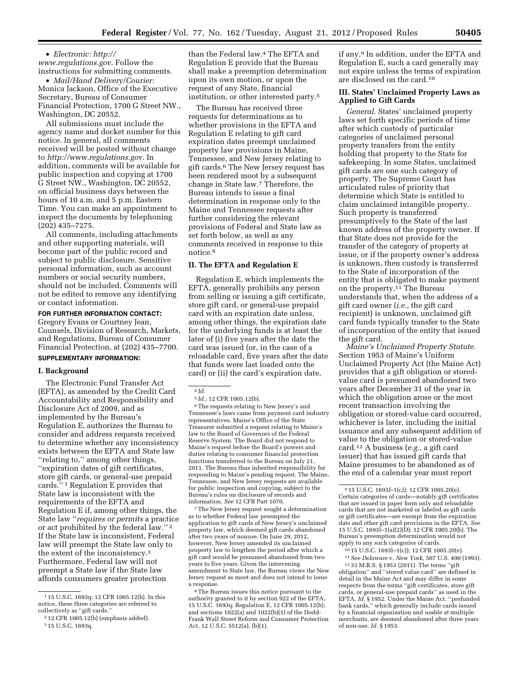• *Electronic: [http://](http://www.regulations.gov) [www.regulations.gov](http://www.regulations.gov)*. Follow the instructions for submitting comments.

• *Mail/Hand Delivery/Courier:*  Monica Jackson, Office of the Executive Secretary, Bureau of Consumer Financial Protection, 1700 G Street NW., Washington, DC 20552.

All submissions must include the agency name and docket number for this notice. In general, all comments received will be posted without change to *<http://www.regulations.gov>*. In addition, comments will be available for public inspection and copying at 1700 G Street NW., Washington, DC 20552, on official business days between the hours of 10 a.m. and 5 p.m. Eastern Time. You can make an appointment to inspect the documents by telephoning (202) 435–7275.

All comments, including attachments and other supporting materials, will become part of the public record and subject to public disclosure. Sensitive personal information, such as account numbers or social security numbers, should not be included. Comments will not be edited to remove any identifying or contact information.

#### **FOR FURTHER INFORMATION CONTACT:**

Gregory Evans or Courtney Jean, Counsels, Division of Research, Markets, and Regulations, Bureau of Consumer Financial Protection, at (202) 435–7700.

### **SUPPLEMENTARY INFORMATION:**

#### **I. Background**

The Electronic Fund Transfer Act (EFTA), as amended by the Credit Card Accountability and Responsibility and Disclosure Act of 2009, and as implemented by the Bureau's Regulation E, authorizes the Bureau to consider and address requests received to determine whether any inconsistency exists between the EFTA and State law ''relating to,'' among other things, ''expiration dates of gift certificates, store gift cards, or general-use prepaid cards.'' 1 Regulation E provides that State law is inconsistent with the requirements of the EFTA and Regulation E if, among other things, the State law ''*requires or permits* a practice or act prohibited by the federal law.'' 2 If the State law is inconsistent, Federal law will preempt the State law only to the extent of the inconsistency.3 Furthermore, Federal law will not preempt a State law if the State law affords consumers greater protection

than the Federal law.4 The EFTA and Regulation E provide that the Bureau shall make a preemption determination upon its own motion, or upon the request of any State, financial institution, or other interested party.5

The Bureau has received three requests for determinations as to whether provisions in the EFTA and Regulation E relating to gift card expiration dates preempt unclaimed property law provisions in Maine, Tennessee, and New Jersey relating to gift cards.6 The New Jersey request has been rendered moot by a subsequent change in State law.7 Therefore, the Bureau intends to issue a final determination in response only to the Maine and Tennessee requests after further considering the relevant provisions of Federal and State law as set forth below, as well as any comments received in response to this notice.8

# **II. The EFTA and Regulation E**

Regulation E, which implements the EFTA, generally prohibits any person from selling or issuing a gift certificate, store gift card, or general-use prepaid card with an expiration date unless, among other things, the expiration date for the underlying funds is at least the later of (i) five years after the date the card was issued (or, in the case of a reloadable card, five years after the date that funds were last loaded onto the card) or (ii) the card's expiration date,

6The requests relating to New Jersey's and Tennessee's laws came from payment card industry representatives. Maine's Office of the State Treasurer submitted a request relating to Maine's law to the Board of Governors of the Federal Reserve System. The Board did not respond to Maine's request before the Board's powers and duties relating to consumer financial protection functions transferred to the Bureau on July 21, 2011. The Bureau thus inherited responsibility for responding to Maine's pending request. The Maine, Tennessee, and New Jersey requests are available for public inspection and copying, subject to the Bureau's rules on disclosure of records and information. *See* 12 CFR Part 1070.

7The New Jersey request sought a determination as to whether Federal law preempted the application to gift cards of New Jersey's unclaimed property law, which deemed gift cards abandoned after two years of nonuse. On June 29, 2012, however, New Jersey amended its unclaimed property law to lengthen the period after which a gift card would be presumed abandoned from two years to five years. Given the intervening amendment to State law, the Bureau views the New Jersey request as moot and does not intend to issue a response.

if any.9 In addition, under the EFTA and Regulation E, such a card generally may not expire unless the terms of expiration are disclosed on the card.10

## **III. States' Unclaimed Property Laws as Applied to Gift Cards**

*General.* States' unclaimed property laws set forth specific periods of time after which custody of particular categories of unclaimed personal property transfers from the entity holding that property to the State for safekeeping. In some States, unclaimed gift cards are one such category of property. The Supreme Court has articulated rules of priority that determine which State is entitled to claim unclaimed intangible property. Such property is transferred presumptively to the State of the last known address of the property owner. If that State does not provide for the transfer of the category of property at issue, or if the property owner's address is unknown, then custody is transferred to the State of incorporation of the entity that is obligated to make payment on the property.11 The Bureau understands that, when the address of a gift card owner (*i.e.,* the gift card recipient) is unknown, unclaimed gift card funds typically transfer to the State of incorporation of the entity that issued the gift card.

*Maine's Unclaimed Property Statute.*  Section 1953 of Maine's Uniform Unclaimed Property Act (the Maine Act) provides that a gift obligation or storedvalue card is presumed abandoned two years after December 31 of the year in which the obligation arose or the most recent transaction involving the obligation or stored-value card occurred, whichever is later, including the initial issuance and any subsequent addition of value to the obligation or stored-value card.12 A business (*e.g.,* a gift card issuer) that has issued gift cards that Maine presumes to be abandoned as of the end of a calendar year must report

<sup>10</sup> 15 U.S.C. 1693l–1(c)); 12 CFR 1005.20(e). 11*See Delaware* v. *New York,* 507 U.S. 490 (1993). 12 33 M.R.S. § 1953 (2011). The terms ''gift obligation'' and ''stored value card'' are defined in detail in the Maine Act and may differ in some respects from the terms ''gift certificates, store gift cards, or general-use prepaid cards'' as used in the EFTA. *Id.* § 1952. Under the Maine Act, ''prefunded bank cards,'' which generally include cards issued by a financial organization and usable at multiple merchants, are deemed abandoned after three years of non-use. *Id.* § 1953.

<sup>1</sup> 15 U.S.C. 1693q; 12 CFR 1005.12(b). In this notice, these three categories are referred to collectively as ''gift cards.''

<sup>2</sup> 12 CFR 1005.12(b) (emphasis added).

<sup>3</sup> 15 U.S.C. 1693q.

<sup>4</sup> *Id.* 

<sup>5</sup> *Id.;* 12 CFR 1005.12(b).

<sup>8</sup>The Bureau issues this notice pursuant to the authority granted to it by section 922 of the EFTA, 15 U.S.C. 1693q; Regulation E, 12 CFR 1005.12(b); and sections 1022(a) and 1022(b)(1) of the Dodd-Frank Wall Street Reform and Consumer Protection Act, 12 U.S.C. 5512(a), (b)(1).

<sup>9</sup> 15 U.S.C. 1693*l*–1(c)); 12 CFR 1005.20(e). Certain categories of cards—notably gift certificates that are issued in paper form only and reloadable cards that are not marketed or labeled as gift cards or gift certificates—are exempt from the expiration date and other gift card provisions in the EFTA. *See*  15 U.S.C. 1693l–1(a)(2)(D); 12 CFR 1005.20(b). The Bureau's preemption determination would not apply to any such categories of cards.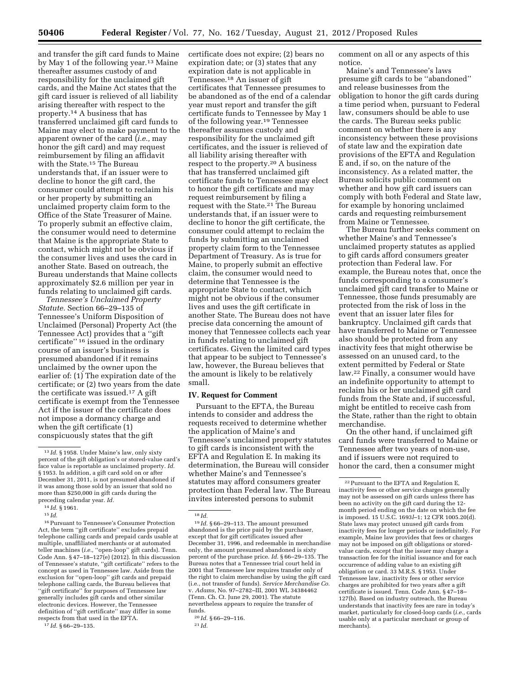and transfer the gift card funds to Maine by May 1 of the following year.13 Maine thereafter assumes custody of and responsibility for the unclaimed gift cards, and the Maine Act states that the gift card issuer is relieved of all liability arising thereafter with respect to the property.14 A business that has transferred unclaimed gift card funds to Maine may elect to make payment to the apparent owner of the card (*i.e.,* may honor the gift card) and may request reimbursement by filing an affidavit with the State.15 The Bureau understands that, if an issuer were to decline to honor the gift card, the consumer could attempt to reclaim his or her property by submitting an unclaimed property claim form to the Office of the State Treasurer of Maine. To properly submit an effective claim, the consumer would need to determine that Maine is the appropriate State to contact, which might not be obvious if the consumer lives and uses the card in another State. Based on outreach, the Bureau understands that Maine collects approximately \$2.6 million per year in funds relating to unclaimed gift cards.

*Tennessee's Unclaimed Property Statute.* Section 66–29–135 of Tennessee's Uniform Disposition of Unclaimed (Personal) Property Act (the Tennessee Act) provides that a ''gift certificate'' 16 issued in the ordinary course of an issuer's business is presumed abandoned if it remains unclaimed by the owner upon the earlier of: (1) The expiration date of the certificate; or (2) two years from the date the certificate was issued.17 A gift certificate is exempt from the Tennessee Act if the issuer of the certificate does not impose a dormancy charge and when the gift certificate (1) conspicuously states that the gift

16Pursuant to Tennessee's Consumer Protection Act, the term ''gift certificate'' excludes prepaid telephone calling cards and prepaid cards usable at multiple, unaffiliated merchants or at automated teller machines (*i.e.,* ''open-loop'' gift cards). Tenn. Code Ann. § 47–18–127(e) (2012). In this discussion of Tennessee's statute, ''gift certificate'' refers to the concept as used in Tennessee law. Aside from the exclusion for ''open-loop'' gift cards and prepaid telephone calling cards, the Bureau believes that ''gift certificate'' for purposes of Tennessee law generally includes gift cards and other similar electronic devices. However, the Tennessee definition of ''gift certificate'' may differ in some respects from that used in the EFTA.

17 *Id.* § 66–29–135.

certificate does not expire; (2) bears no expiration date; or (3) states that any expiration date is not applicable in Tennessee.18 An issuer of gift certificates that Tennessee presumes to be abandoned as of the end of a calendar year must report and transfer the gift certificate funds to Tennessee by May 1 of the following year.19 Tennessee thereafter assumes custody and responsibility for the unclaimed gift certificates, and the issuer is relieved of all liability arising thereafter with respect to the property.20 A business that has transferred unclaimed gift certificate funds to Tennessee may elect to honor the gift certificate and may request reimbursement by filing a request with the State.21 The Bureau understands that, if an issuer were to decline to honor the gift certificate, the consumer could attempt to reclaim the funds by submitting an unclaimed property claim form to the Tennessee Department of Treasury. As is true for Maine, to properly submit an effective claim, the consumer would need to determine that Tennessee is the appropriate State to contact, which might not be obvious if the consumer lives and uses the gift certificate in another State. The Bureau does not have precise data concerning the amount of money that Tennessee collects each year in funds relating to unclaimed gift certificates. Given the limited card types that appear to be subject to Tennessee's law, however, the Bureau believes that the amount is likely to be relatively small.

### **IV. Request for Comment**

Pursuant to the EFTA, the Bureau intends to consider and address the requests received to determine whether the application of Maine's and Tennessee's unclaimed property statutes to gift cards is inconsistent with the EFTA and Regulation E. In making its determination, the Bureau will consider whether Maine's and Tennessee's statutes may afford consumers greater protection than Federal law. The Bureau invites interested persons to submit

comment on all or any aspects of this notice.

Maine's and Tennessee's laws presume gift cards to be ''abandoned'' and release businesses from the obligation to honor the gift cards during a time period when, pursuant to Federal law, consumers should be able to use the cards. The Bureau seeks public comment on whether there is any inconsistency between these provisions of state law and the expiration date provisions of the EFTA and Regulation E and, if so, on the nature of the inconsistency. As a related matter, the Bureau solicits public comment on whether and how gift card issuers can comply with both Federal and State law, for example by honoring unclaimed cards and requesting reimbursement from Maine or Tennessee.

The Bureau further seeks comment on whether Maine's and Tennessee's unclaimed property statutes as applied to gift cards afford consumers greater protection than Federal law. For example, the Bureau notes that, once the funds corresponding to a consumer's unclaimed gift card transfer to Maine or Tennessee, those funds presumably are protected from the risk of loss in the event that an issuer later files for bankruptcy. Unclaimed gift cards that have transferred to Maine or Tennessee also should be protected from any inactivity fees that might otherwise be assessed on an unused card, to the extent permitted by Federal or State law.22 Finally, a consumer would have an indefinite opportunity to attempt to reclaim his or her unclaimed gift card funds from the State and, if successful, might be entitled to receive cash from the State, rather than the right to obtain merchandise.

On the other hand, if unclaimed gift card funds were transferred to Maine or Tennessee after two years of non-use, and if issuers were not required to honor the card, then a consumer might

<sup>13</sup> *Id.* § 1958. Under Maine's law, only sixty percent of the gift obligation's or stored-value card's face value is reportable as unclaimed property. *Id.*  § 1953. In addition, a gift card sold on or after December 31, 2011, is not presumed abandoned if it was among those sold by an issuer that sold no more than \$250,000 in gift cards during the preceding calendar year. *Id.* 

<sup>14</sup> *Id.* § 1961.

<sup>15</sup> *Id.* 

<sup>18</sup> *Id.* 

<sup>19</sup> *Id.* § 66–29–113. The amount presumed abandoned is the price paid by the purchaser, except that for gift certificates issued after December 31, 1996, and redeemable in merchandise only, the amount presumed abandoned is sixty percent of the purchase price. *Id.* § 66–29–135. The Bureau notes that a Tennessee trial court held in 2001 that Tennessee law requires transfer only of the right to claim merchandise by using the gift card (i.e., not transfer of funds). *Service Merchandise Co.*  v. *Adams,* No. 97–2782–III, 2001 WL 34384462 (Tenn. Ch. Ct. June 29, 2001). The statute nevertheless appears to require the transfer of funds.

<sup>20</sup> *Id.* § 66–29–116.

<sup>21</sup> *Id.* 

<sup>22</sup>Pursuant to the EFTA and Regulation E, inactivity fees or other service charges generally may not be assessed on gift cards unless there has been no activity on the gift card during the 12 month period ending on the date on which the fee is imposed. 15 U.S.C. 1693*l*–1; 12 CFR 1005.20(d). State laws may protect unused gift cards from inactivity fees for longer periods or indefinitely. For example, Maine law provides that fees or charges may not be imposed on gift obligations or storedvalue cards, except that the issuer may charge a transaction fee for the initial issuance and for each occurrence of adding value to an existing gift obligation or card. 33 M.R.S. § 1953. Under Tennessee law, inactivity fees or other service charges are prohibited for two years after a gift certificate is issued. Tenn. Code Ann. § 47–18– 127(b). Based on industry outreach, the Bureau understands that inactivity fees are rare in today's market, particularly for closed-loop cards (*i.e.,* cards usable only at a particular merchant or group of merchants).